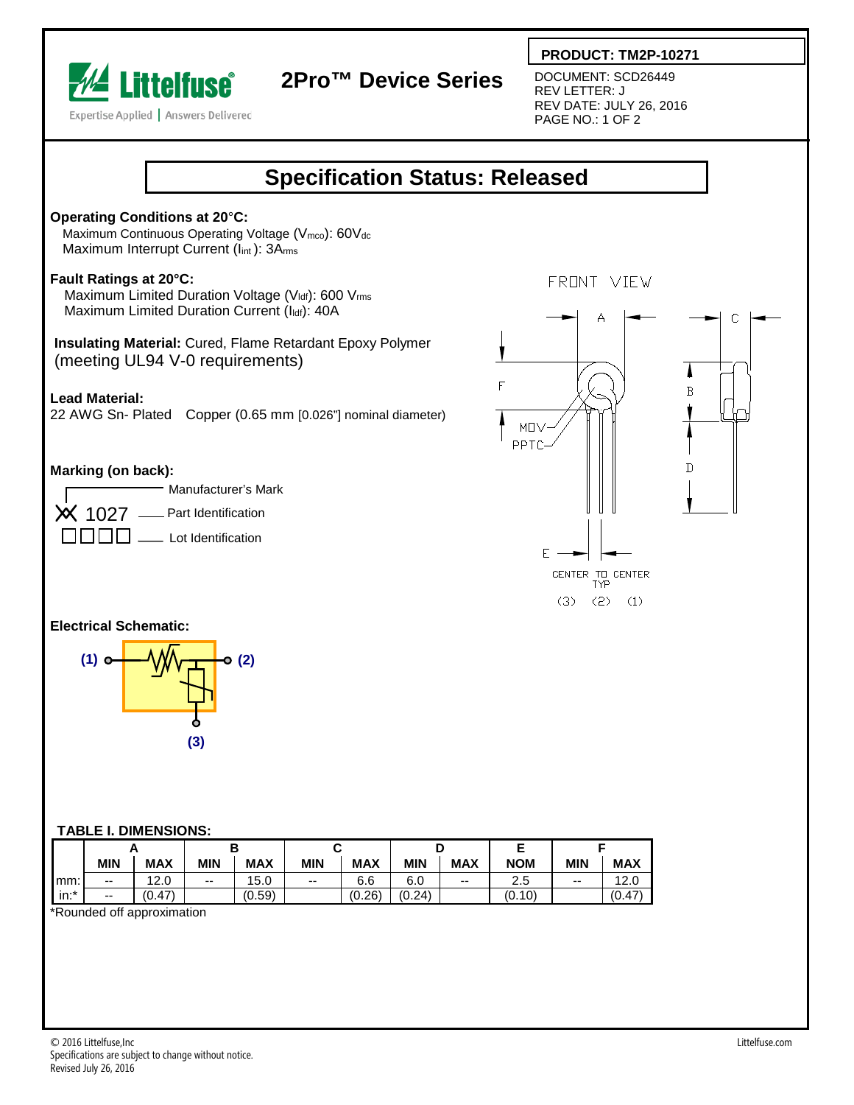

# **2Pro™ Device Series**

 **PRODUCT: TM2P-10271**

DOCUMENT: SCD26449 REV LETTER: J REV DATE: JULY 26, 2016 PAGE NO.: 1 OF 2





mm: -- 12.0 -- 15.0 -- 6.6 6.0 -- 2.5 -- 12.0 in:\* -- (0.47) (0.59) (0.26) (0.24) (0.10) (0.47)

\*Rounded off approximation